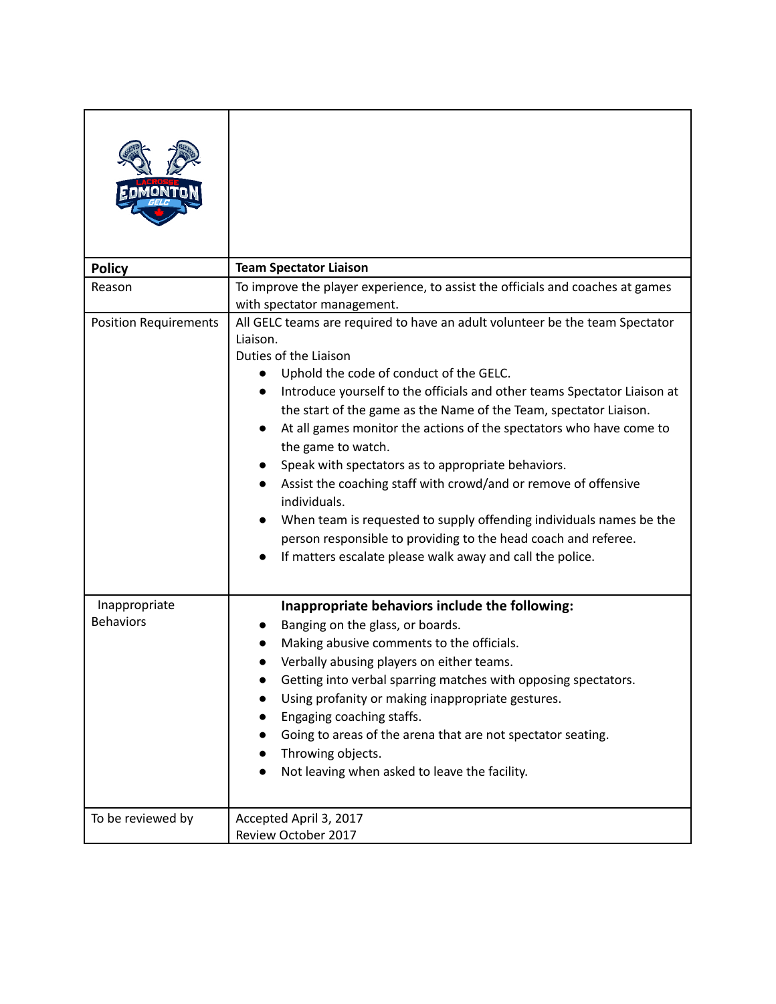| <b>Policy</b>                     | <b>Team Spectator Liaison</b>                                                                                                                                                                                                                                                                                                                                                                                                                                                                                                                                                                                                                                                                                                                             |
|-----------------------------------|-----------------------------------------------------------------------------------------------------------------------------------------------------------------------------------------------------------------------------------------------------------------------------------------------------------------------------------------------------------------------------------------------------------------------------------------------------------------------------------------------------------------------------------------------------------------------------------------------------------------------------------------------------------------------------------------------------------------------------------------------------------|
| Reason                            | To improve the player experience, to assist the officials and coaches at games<br>with spectator management.                                                                                                                                                                                                                                                                                                                                                                                                                                                                                                                                                                                                                                              |
| <b>Position Requirements</b>      | All GELC teams are required to have an adult volunteer be the team Spectator<br>Liaison.<br>Duties of the Liaison<br>Uphold the code of conduct of the GELC.<br>Introduce yourself to the officials and other teams Spectator Liaison at<br>the start of the game as the Name of the Team, spectator Liaison.<br>At all games monitor the actions of the spectators who have come to<br>the game to watch.<br>Speak with spectators as to appropriate behaviors.<br>Assist the coaching staff with crowd/and or remove of offensive<br>individuals.<br>When team is requested to supply offending individuals names be the<br>person responsible to providing to the head coach and referee.<br>If matters escalate please walk away and call the police. |
| Inappropriate<br><b>Behaviors</b> | Inappropriate behaviors include the following:<br>Banging on the glass, or boards.<br>Making abusive comments to the officials.<br>Verbally abusing players on either teams.<br>Getting into verbal sparring matches with opposing spectators.<br>Using profanity or making inappropriate gestures.<br>Engaging coaching staffs.<br>Going to areas of the arena that are not spectator seating.<br>Throwing objects.<br>Not leaving when asked to leave the facility.                                                                                                                                                                                                                                                                                     |
| To be reviewed by                 | Accepted April 3, 2017<br>Review October 2017                                                                                                                                                                                                                                                                                                                                                                                                                                                                                                                                                                                                                                                                                                             |